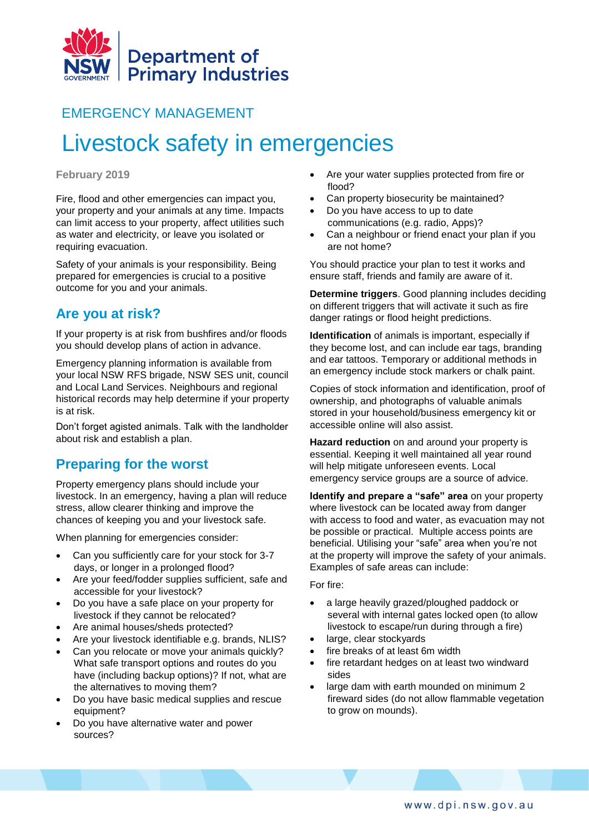

# EMERGENCY MANAGEMENT

# Livestock safety in emergencies

#### **February 2019**

Fire, flood and other emergencies can impact you, your property and your animals at any time. Impacts can limit access to your property, affect utilities such as water and electricity, or leave you isolated or requiring evacuation.

Safety of your animals is your responsibility. Being prepared for emergencies is crucial to a positive outcome for you and your animals.

## **Are you at risk?**

If your property is at risk from bushfires and/or floods you should develop plans of action in advance.

Emergency planning information is available from your local NSW RFS brigade, NSW SES unit, council and Local Land Services. Neighbours and regional historical records may help determine if your property is at risk.

Don't forget agisted animals. Talk with the landholder about risk and establish a plan.

# **Preparing for the worst**

Property emergency plans should include your livestock. In an emergency, having a plan will reduce stress, allow clearer thinking and improve the chances of keeping you and your livestock safe.

When planning for emergencies consider:

- Can you sufficiently care for your stock for 3-7 days, or longer in a prolonged flood?
- Are your feed/fodder supplies sufficient, safe and accessible for your livestock?
- Do you have a safe place on your property for livestock if they cannot be relocated?
- Are animal houses/sheds protected?
- Are your livestock identifiable e.g. brands, NLIS?
- Can you relocate or move your animals quickly? What safe transport options and routes do you have (including backup options)? If not, what are the alternatives to moving them?
- Do you have basic medical supplies and rescue equipment?
- Do you have alternative water and power sources?
- Are your water supplies protected from fire or flood?
- Can property biosecurity be maintained?
- Do you have access to up to date communications (e.g. radio, Apps)?
- Can a neighbour or friend enact your plan if you are not home?

You should practice your plan to test it works and ensure staff, friends and family are aware of it.

**Determine triggers**. Good planning includes deciding on different triggers that will activate it such as fire danger ratings or flood height predictions.

**Identification** of animals is important, especially if they become lost, and can include ear tags, branding and ear tattoos. Temporary or additional methods in an emergency include stock markers or chalk paint.

Copies of stock information and identification, proof of ownership, and photographs of valuable animals stored in your household/business emergency kit or accessible online will also assist.

**Hazard reduction** on and around your property is essential. Keeping it well maintained all year round will help mitigate unforeseen events. Local emergency service groups are a source of advice.

**Identify and prepare a "safe" area** on your property where livestock can be located away from danger with access to food and water, as evacuation may not be possible or practical. Multiple access points are beneficial. Utilising your "safe" area when you're not at the property will improve the safety of your animals. Examples of safe areas can include:

#### For fire:

- a large heavily grazed/ploughed paddock or several with internal gates locked open (to allow livestock to escape/run during through a fire)
- large, clear stockyards
- fire breaks of at least 6m width
- fire retardant hedges on at least two windward sides
- large dam with earth mounded on minimum 2 fireward sides (do not allow flammable vegetation to grow on mounds).

www.dpi.nsw.gov.au